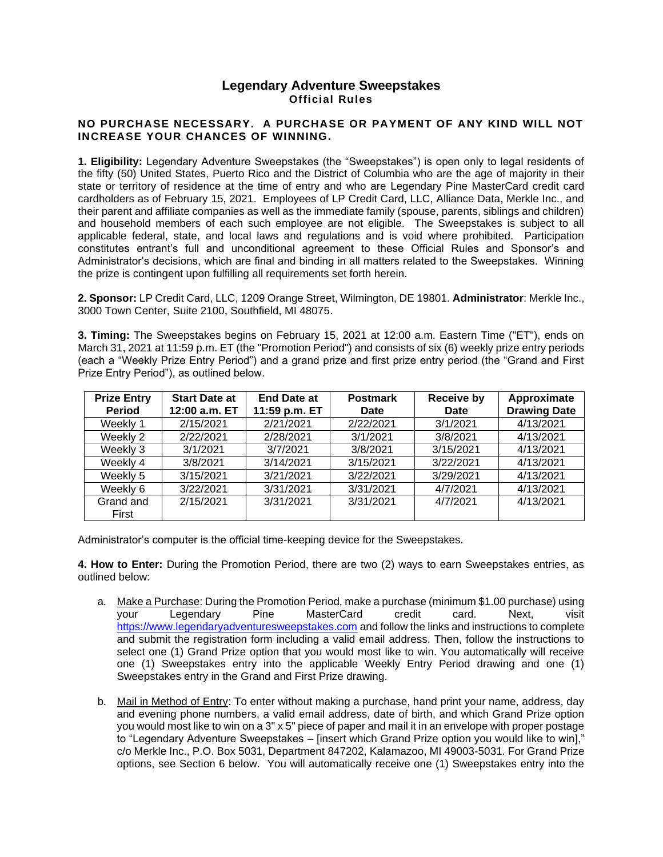## **Legendary Adventure Sweepstakes Official Rules**

## **NO PURCHASE NECESSARY. A PURCHASE OR PAYMENT OF ANY KIND WILL NOT INCREASE YOUR CHANCES OF WINNING.**

**1. Eligibility:** Legendary Adventure Sweepstakes (the "Sweepstakes") is open only to legal residents of the fifty (50) United States, Puerto Rico and the District of Columbia who are the age of majority in their state or territory of residence at the time of entry and who are Legendary Pine MasterCard credit card cardholders as of February 15, 2021. Employees of LP Credit Card, LLC, Alliance Data, Merkle Inc., and their parent and affiliate companies as well as the immediate family (spouse, parents, siblings and children) and household members of each such employee are not eligible. The Sweepstakes is subject to all applicable federal, state, and local laws and regulations and is void where prohibited. Participation constitutes entrant's full and unconditional agreement to these Official Rules and Sponsor's and Administrator's decisions, which are final and binding in all matters related to the Sweepstakes. Winning the prize is contingent upon fulfilling all requirements set forth herein.

**2. Sponsor:** LP Credit Card, LLC, 1209 Orange Street, Wilmington, DE 19801. **Administrator**: Merkle Inc., 3000 Town Center, Suite 2100, Southfield, MI 48075.

**3. Timing:** The Sweepstakes begins on February 15, 2021 at 12:00 a.m. Eastern Time ("ET"), ends on March 31, 2021 at 11:59 p.m. ET (the "Promotion Period") and consists of six (6) weekly prize entry periods (each a "Weekly Prize Entry Period") and a grand prize and first prize entry period (the "Grand and First Prize Entry Period"), as outlined below.

| <b>Prize Entry</b><br><b>Period</b> | <b>Start Date at</b><br>12:00 a.m. ET | <b>End Date at</b><br>11:59 p.m. ET | <b>Postmark</b><br>Date | <b>Receive by</b><br>Date | Approximate<br><b>Drawing Date</b> |
|-------------------------------------|---------------------------------------|-------------------------------------|-------------------------|---------------------------|------------------------------------|
| Weekly 1                            | 2/15/2021                             | 2/21/2021                           | 2/22/2021               | 3/1/2021                  | 4/13/2021                          |
| Weekly 2                            | 2/22/2021                             | 2/28/2021                           | 3/1/2021                | 3/8/2021                  | 4/13/2021                          |
| Weekly 3                            | 3/1/2021                              | 3/7/2021                            | 3/8/2021                | 3/15/2021                 | 4/13/2021                          |
| Weekly 4                            | 3/8/2021                              | 3/14/2021                           | 3/15/2021               | 3/22/2021                 | 4/13/2021                          |
| Weekly 5                            | 3/15/2021                             | 3/21/2021                           | 3/22/2021               | 3/29/2021                 | 4/13/2021                          |
| Weekly 6                            | 3/22/2021                             | 3/31/2021                           | 3/31/2021               | 4/7/2021                  | 4/13/2021                          |
| Grand and<br>First                  | 2/15/2021                             | 3/31/2021                           | 3/31/2021               | 4/7/2021                  | 4/13/2021                          |

Administrator's computer is the official time-keeping device for the Sweepstakes.

**4. How to Enter:** During the Promotion Period, there are two (2) ways to earn Sweepstakes entries, as outlined below:

- a. Make a Purchase: During the Promotion Period, make a purchase (minimum \$1.00 purchase) using your Legendary Pine MasterCard credit card. Next, visit [https://www.legendaryadventuresweepstakes.com](https://www.legendaryadventuresweepstakes.com/) and follow the links and instructions to complete and submit the registration form including a valid email address. Then, follow the instructions to select one (1) Grand Prize option that you would most like to win. You automatically will receive one (1) Sweepstakes entry into the applicable Weekly Entry Period drawing and one (1) Sweepstakes entry in the Grand and First Prize drawing.
- b. Mail in Method of Entry: To enter without making a purchase, hand print your name, address, day and evening phone numbers, a valid email address, date of birth, and which Grand Prize option you would most like to win on a 3" x 5" piece of paper and mail it in an envelope with proper postage to "Legendary Adventure Sweepstakes – [insert which Grand Prize option you would like to win]," c/o Merkle Inc., P.O. Box 5031, Department 847202, Kalamazoo, MI 49003-5031. For Grand Prize options, see Section 6 below. You will automatically receive one (1) Sweepstakes entry into the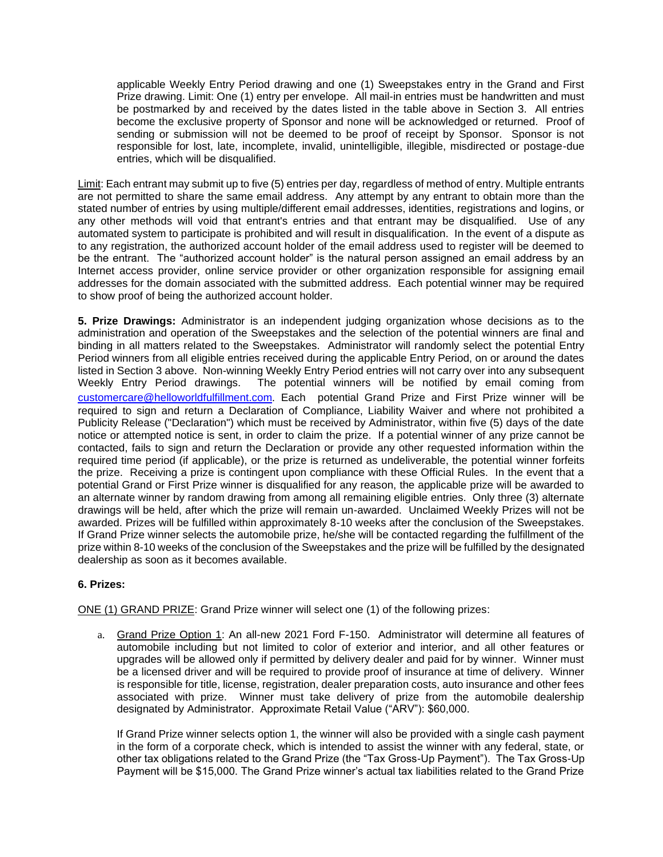applicable Weekly Entry Period drawing and one (1) Sweepstakes entry in the Grand and First Prize drawing. Limit: One (1) entry per envelope. All mail-in entries must be handwritten and must be postmarked by and received by the dates listed in the table above in Section 3. All entries become the exclusive property of Sponsor and none will be acknowledged or returned. Proof of sending or submission will not be deemed to be proof of receipt by Sponsor. Sponsor is not responsible for lost, late, incomplete, invalid, unintelligible, illegible, misdirected or postage-due entries, which will be disqualified.

Limit: Each entrant may submit up to five (5) entries per day, regardless of method of entry. Multiple entrants are not permitted to share the same email address. Any attempt by any entrant to obtain more than the stated number of entries by using multiple/different email addresses, identities, registrations and logins, or any other methods will void that entrant's entries and that entrant may be disqualified. Use of any automated system to participate is prohibited and will result in disqualification. In the event of a dispute as to any registration, the authorized account holder of the email address used to register will be deemed to be the entrant. The "authorized account holder" is the natural person assigned an email address by an Internet access provider, online service provider or other organization responsible for assigning email addresses for the domain associated with the submitted address. Each potential winner may be required to show proof of being the authorized account holder.

**5. Prize Drawings:** Administrator is an independent judging organization whose decisions as to the administration and operation of the Sweepstakes and the selection of the potential winners are final and binding in all matters related to the Sweepstakes. Administrator will randomly select the potential Entry Period winners from all eligible entries received during the applicable Entry Period, on or around the dates listed in Section 3 above. Non-winning Weekly Entry Period entries will not carry over into any subsequent Weekly Entry Period drawings. The potential winners will be notified by email coming from [customercare@helloworldfulfillment.com](mailto:customercare@helloworldfulfillment.com). Each potential Grand Prize and First Prize winner will be required to sign and return a Declaration of Compliance, Liability Waiver and where not prohibited a Publicity Release ("Declaration") which must be received by Administrator, within five (5) days of the date notice or attempted notice is sent, in order to claim the prize. If a potential winner of any prize cannot be contacted, fails to sign and return the Declaration or provide any other requested information within the required time period (if applicable), or the prize is returned as undeliverable, the potential winner forfeits the prize. Receiving a prize is contingent upon compliance with these Official Rules. In the event that a potential Grand or First Prize winner is disqualified for any reason, the applicable prize will be awarded to an alternate winner by random drawing from among all remaining eligible entries. Only three (3) alternate drawings will be held, after which the prize will remain un-awarded. Unclaimed Weekly Prizes will not be awarded. Prizes will be fulfilled within approximately 8-10 weeks after the conclusion of the Sweepstakes. If Grand Prize winner selects the automobile prize, he/she will be contacted regarding the fulfillment of the prize within 8-10 weeks of the conclusion of the Sweepstakes and the prize will be fulfilled by the designated dealership as soon as it becomes available.

## **6. Prizes:**

ONE (1) GRAND PRIZE: Grand Prize winner will select one (1) of the following prizes:

a. Grand Prize Option 1: An all-new 2021 Ford F-150. Administrator will determine all features of automobile including but not limited to color of exterior and interior, and all other features or upgrades will be allowed only if permitted by delivery dealer and paid for by winner. Winner must be a licensed driver and will be required to provide proof of insurance at time of delivery. Winner is responsible for title, license, registration, dealer preparation costs, auto insurance and other fees associated with prize. Winner must take delivery of prize from the automobile dealership designated by Administrator. Approximate Retail Value ("ARV"): \$60,000.

If Grand Prize winner selects option 1, the winner will also be provided with a single cash payment in the form of a corporate check, which is intended to assist the winner with any federal, state, or other tax obligations related to the Grand Prize (the "Tax Gross-Up Payment"). The Tax Gross-Up Payment will be \$15,000. The Grand Prize winner's actual tax liabilities related to the Grand Prize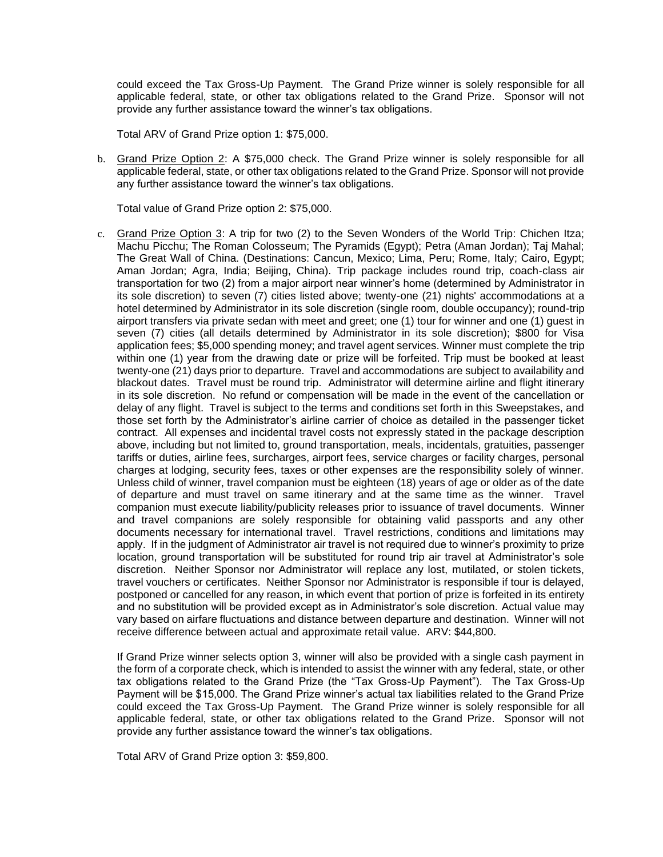could exceed the Tax Gross-Up Payment. The Grand Prize winner is solely responsible for all applicable federal, state, or other tax obligations related to the Grand Prize. Sponsor will not provide any further assistance toward the winner's tax obligations.

Total ARV of Grand Prize option 1: \$75,000.

b. Grand Prize Option 2: A \$75,000 check. The Grand Prize winner is solely responsible for all applicable federal, state, or other tax obligations related to the Grand Prize. Sponsor will not provide any further assistance toward the winner's tax obligations.

Total value of Grand Prize option 2: \$75,000.

c. Grand Prize Option 3: A trip for two (2) to the Seven Wonders of the World Trip: Chichen Itza; Machu Picchu; The Roman Colosseum; The Pyramids (Egypt); Petra (Aman Jordan); Taj Mahal; The Great Wall of China. (Destinations: Cancun, Mexico; Lima, Peru; Rome, Italy; Cairo, Egypt; Aman Jordan; Agra, India; Beijing, China). Trip package includes round trip, coach-class air transportation for two (2) from a major airport near winner's home (determined by Administrator in its sole discretion) to seven (7) cities listed above; twenty-one (21) nights' accommodations at a hotel determined by Administrator in its sole discretion (single room, double occupancy); round-trip airport transfers via private sedan with meet and greet; one (1) tour for winner and one (1) guest in seven (7) cities (all details determined by Administrator in its sole discretion); \$800 for Visa application fees; \$5,000 spending money; and travel agent services. Winner must complete the trip within one (1) year from the drawing date or prize will be forfeited. Trip must be booked at least twenty-one (21) days prior to departure. Travel and accommodations are subject to availability and blackout dates. Travel must be round trip. Administrator will determine airline and flight itinerary in its sole discretion. No refund or compensation will be made in the event of the cancellation or delay of any flight. Travel is subject to the terms and conditions set forth in this Sweepstakes, and those set forth by the Administrator's airline carrier of choice as detailed in the passenger ticket contract. All expenses and incidental travel costs not expressly stated in the package description above, including but not limited to, ground transportation, meals, incidentals, gratuities, passenger tariffs or duties, airline fees, surcharges, airport fees, service charges or facility charges, personal charges at lodging, security fees, taxes or other expenses are the responsibility solely of winner. Unless child of winner, travel companion must be eighteen (18) years of age or older as of the date of departure and must travel on same itinerary and at the same time as the winner. Travel companion must execute liability/publicity releases prior to issuance of travel documents. Winner and travel companions are solely responsible for obtaining valid passports and any other documents necessary for international travel. Travel restrictions, conditions and limitations may apply.If in the judgment of Administrator air travel is not required due to winner's proximity to prize location, ground transportation will be substituted for round trip air travel at Administrator's sole discretion. Neither Sponsor nor Administrator will replace any lost, mutilated, or stolen tickets, travel vouchers or certificates. Neither Sponsor nor Administrator is responsible if tour is delayed, postponed or cancelled for any reason, in which event that portion of prize is forfeited in its entirety and no substitution will be provided except as in Administrator's sole discretion. Actual value may vary based on airfare fluctuations and distance between departure and destination. Winner will not receive difference between actual and approximate retail value. ARV: \$44,800.

If Grand Prize winner selects option 3, winner will also be provided with a single cash payment in the form of a corporate check, which is intended to assist the winner with any federal, state, or other tax obligations related to the Grand Prize (the "Tax Gross-Up Payment"). The Tax Gross-Up Payment will be \$15,000. The Grand Prize winner's actual tax liabilities related to the Grand Prize could exceed the Tax Gross-Up Payment. The Grand Prize winner is solely responsible for all applicable federal, state, or other tax obligations related to the Grand Prize. Sponsor will not provide any further assistance toward the winner's tax obligations.

Total ARV of Grand Prize option 3: \$59,800.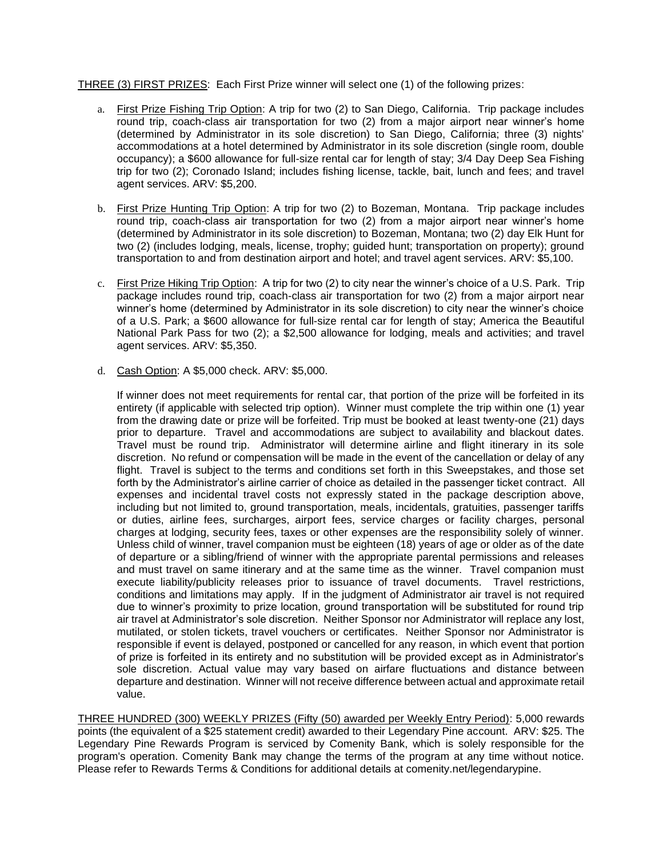THREE (3) FIRST PRIZES: Each First Prize winner will select one (1) of the following prizes:

- a. First Prize Fishing Trip Option: A trip for two (2) to San Diego, California. Trip package includes round trip, coach-class air transportation for two (2) from a major airport near winner's home (determined by Administrator in its sole discretion) to San Diego, California; three (3) nights' accommodations at a hotel determined by Administrator in its sole discretion (single room, double occupancy); a \$600 allowance for full-size rental car for length of stay; 3/4 Day Deep Sea Fishing trip for two (2); Coronado Island; includes fishing license, tackle, bait, lunch and fees; and travel agent services. ARV: \$5,200.
- b. First Prize Hunting Trip Option: A trip for two (2) to Bozeman, Montana. Trip package includes round trip, coach-class air transportation for two (2) from a major airport near winner's home (determined by Administrator in its sole discretion) to Bozeman, Montana; two (2) day Elk Hunt for two (2) (includes lodging, meals, license, trophy; guided hunt; transportation on property); ground transportation to and from destination airport and hotel; and travel agent services. ARV: \$5,100.
- c. First Prize Hiking Trip Option: A trip for two (2) to city near the winner's choice of a U.S. Park. Trip package includes round trip, coach-class air transportation for two (2) from a major airport near winner's home (determined by Administrator in its sole discretion) to city near the winner's choice of a U.S. Park; a \$600 allowance for full-size rental car for length of stay; America the Beautiful National Park Pass for two (2); a \$2,500 allowance for lodging, meals and activities; and travel agent services. ARV: \$5,350.
- d. Cash Option: A \$5,000 check. ARV: \$5,000.

If winner does not meet requirements for rental car, that portion of the prize will be forfeited in its entirety (if applicable with selected trip option). Winner must complete the trip within one (1) year from the drawing date or prize will be forfeited. Trip must be booked at least twenty-one (21) days prior to departure. Travel and accommodations are subject to availability and blackout dates. Travel must be round trip. Administrator will determine airline and flight itinerary in its sole discretion. No refund or compensation will be made in the event of the cancellation or delay of any flight. Travel is subject to the terms and conditions set forth in this Sweepstakes, and those set forth by the Administrator's airline carrier of choice as detailed in the passenger ticket contract. All expenses and incidental travel costs not expressly stated in the package description above, including but not limited to, ground transportation, meals, incidentals, gratuities, passenger tariffs or duties, airline fees, surcharges, airport fees, service charges or facility charges, personal charges at lodging, security fees, taxes or other expenses are the responsibility solely of winner. Unless child of winner, travel companion must be eighteen (18) years of age or older as of the date of departure or a sibling/friend of winner with the appropriate parental permissions and releases and must travel on same itinerary and at the same time as the winner. Travel companion must execute liability/publicity releases prior to issuance of travel documents. Travel restrictions, conditions and limitations may apply.If in the judgment of Administrator air travel is not required due to winner's proximity to prize location, ground transportation will be substituted for round trip air travel at Administrator's sole discretion. Neither Sponsor nor Administrator will replace any lost, mutilated, or stolen tickets, travel vouchers or certificates. Neither Sponsor nor Administrator is responsible if event is delayed, postponed or cancelled for any reason, in which event that portion of prize is forfeited in its entirety and no substitution will be provided except as in Administrator's sole discretion. Actual value may vary based on airfare fluctuations and distance between departure and destination. Winner will not receive difference between actual and approximate retail value.

THREE HUNDRED (300) WEEKLY PRIZES (Fifty (50) awarded per Weekly Entry Period): 5,000 rewards points (the equivalent of a \$25 statement credit) awarded to their Legendary Pine account. ARV: \$25. The Legendary Pine Rewards Program is serviced by Comenity Bank, which is solely responsible for the program's operation. Comenity Bank may change the terms of the program at any time without notice. Please refer to Rewards Terms & Conditions for additional details at comenity.net/legendarypine.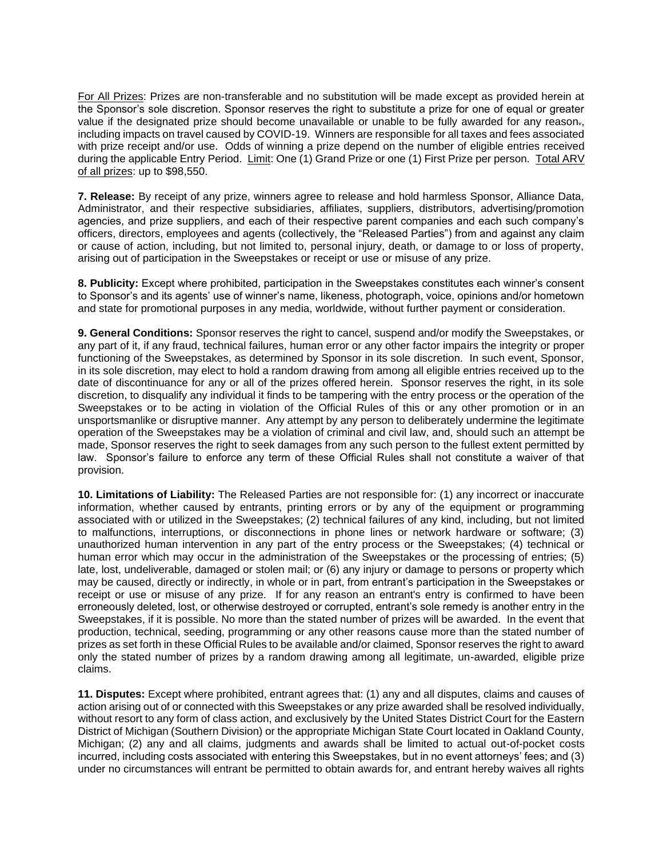For All Prizes: Prizes are non-transferable and no substitution will be made except as provided herein at the Sponsor's sole discretion. Sponsor reserves the right to substitute a prize for one of equal or greater value if the designated prize should become unavailable or unable to be fully awarded for any reason-, including impacts on travel caused by COVID-19. Winners are responsible for all taxes and fees associated with prize receipt and/or use. Odds of winning a prize depend on the number of eligible entries received during the applicable Entry Period. Limit: One (1) Grand Prize or one (1) First Prize per person. Total ARV of all prizes: up to \$98,550.

**7. Release:** By receipt of any prize, winners agree to release and hold harmless Sponsor, Alliance Data, Administrator, and their respective subsidiaries, affiliates, suppliers, distributors, advertising/promotion agencies, and prize suppliers, and each of their respective parent companies and each such company's officers, directors, employees and agents (collectively, the "Released Parties") from and against any claim or cause of action, including, but not limited to, personal injury, death, or damage to or loss of property, arising out of participation in the Sweepstakes or receipt or use or misuse of any prize.

**8. Publicity:** Except where prohibited, participation in the Sweepstakes constitutes each winner's consent to Sponsor's and its agents' use of winner's name, likeness, photograph, voice, opinions and/or hometown and state for promotional purposes in any media, worldwide, without further payment or consideration.

**9. General Conditions:** Sponsor reserves the right to cancel, suspend and/or modify the Sweepstakes, or any part of it, if any fraud, technical failures, human error or any other factor impairs the integrity or proper functioning of the Sweepstakes, as determined by Sponsor in its sole discretion. In such event, Sponsor, in its sole discretion, may elect to hold a random drawing from among all eligible entries received up to the date of discontinuance for any or all of the prizes offered herein. Sponsor reserves the right, in its sole discretion, to disqualify any individual it finds to be tampering with the entry process or the operation of the Sweepstakes or to be acting in violation of the Official Rules of this or any other promotion or in an unsportsmanlike or disruptive manner. Any attempt by any person to deliberately undermine the legitimate operation of the Sweepstakes may be a violation of criminal and civil law, and, should such an attempt be made, Sponsor reserves the right to seek damages from any such person to the fullest extent permitted by law. Sponsor's failure to enforce any term of these Official Rules shall not constitute a waiver of that provision.

**10. Limitations of Liability:** The Released Parties are not responsible for: (1) any incorrect or inaccurate information, whether caused by entrants, printing errors or by any of the equipment or programming associated with or utilized in the Sweepstakes; (2) technical failures of any kind, including, but not limited to malfunctions, interruptions, or disconnections in phone lines or network hardware or software; (3) unauthorized human intervention in any part of the entry process or the Sweepstakes; (4) technical or human error which may occur in the administration of the Sweepstakes or the processing of entries; (5) late, lost, undeliverable, damaged or stolen mail; or (6) any injury or damage to persons or property which may be caused, directly or indirectly, in whole or in part, from entrant's participation in the Sweepstakes or receipt or use or misuse of any prize. If for any reason an entrant's entry is confirmed to have been erroneously deleted, lost, or otherwise destroyed or corrupted, entrant's sole remedy is another entry in the Sweepstakes, if it is possible. No more than the stated number of prizes will be awarded. In the event that production, technical, seeding, programming or any other reasons cause more than the stated number of prizes as set forth in these Official Rules to be available and/or claimed, Sponsor reserves the right to award only the stated number of prizes by a random drawing among all legitimate, un-awarded, eligible prize claims.

**11. Disputes:** Except where prohibited, entrant agrees that: (1) any and all disputes, claims and causes of action arising out of or connected with this Sweepstakes or any prize awarded shall be resolved individually, without resort to any form of class action, and exclusively by the United States District Court for the Eastern District of Michigan (Southern Division) or the appropriate Michigan State Court located in Oakland County, Michigan; (2) any and all claims, judgments and awards shall be limited to actual out-of-pocket costs incurred, including costs associated with entering this Sweepstakes, but in no event attorneys' fees; and (3) under no circumstances will entrant be permitted to obtain awards for, and entrant hereby waives all rights